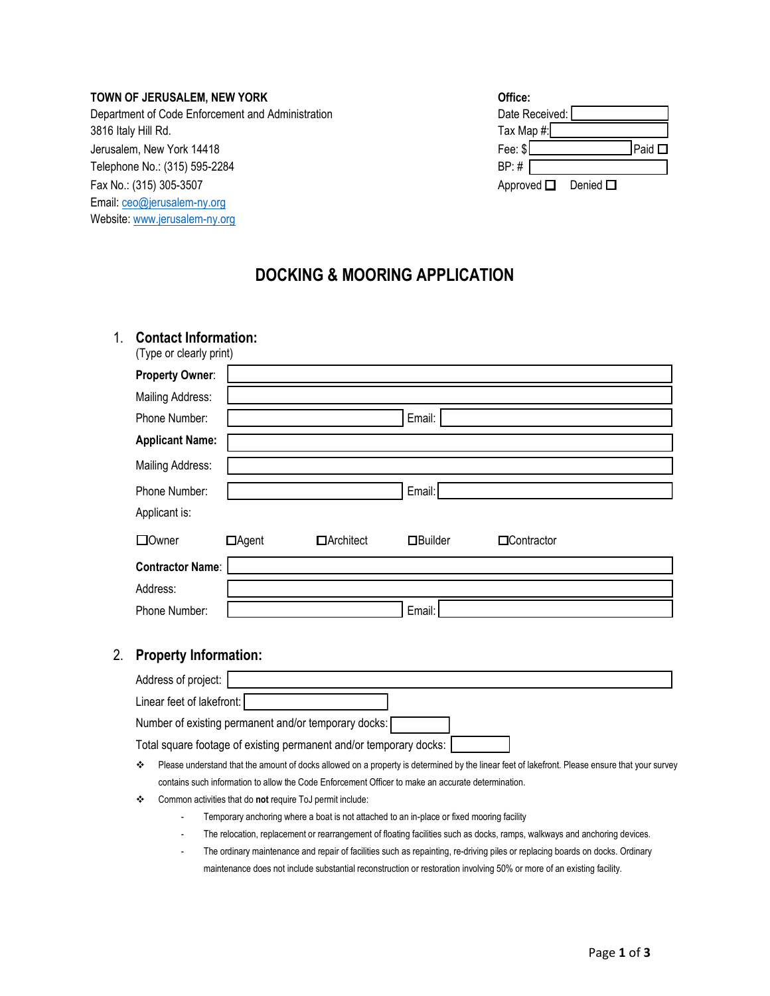#### **TOWN OF JERUSALEM, NEW YORK**

Department of Code Enforcement and Administration 3816 Italy Hill Rd. Jerusalem, New York 14418 Telephone No.: (315) 595-2284 Fax No.: (315) 305-3507 Email: [ceo@jerusalem-ny.org](mailto:ceo@jerusalem-ny.org) Website: [www.jerusalem-ny.org](http://www.jerusalem-ny.org/)

| Office:                       |             |
|-------------------------------|-------------|
| Date Received:                |             |
| Tax Map #:                    |             |
| Fee: $$$                      | Paid $\Box$ |
| BP: #                         |             |
| Approved $\Box$ Denied $\Box$ |             |

# **DOCKING & MOORING APPLICATION**

# 1. **Contact Information:**

| (Type or clearly print) |              |                  |                  |             |  |
|-------------------------|--------------|------------------|------------------|-------------|--|
| Property Owner:         |              |                  |                  |             |  |
| <b>Mailing Address:</b> |              |                  |                  |             |  |
| Phone Number:           |              |                  | Email:           |             |  |
| <b>Applicant Name:</b>  |              |                  |                  |             |  |
| <b>Mailing Address:</b> |              |                  |                  |             |  |
| Phone Number:           |              |                  | Email:           |             |  |
| Applicant is:           |              |                  |                  |             |  |
| □ Owner                 | $\Box$ Agent | $\Box$ Architect | <b>O</b> Builder | □Contractor |  |
| <b>Contractor Name:</b> |              |                  |                  |             |  |
| Address:                |              |                  |                  |             |  |
| Phone Number:           |              |                  | Email:           |             |  |

### 2. **Property Information:**

| Address of project:                                                |  |
|--------------------------------------------------------------------|--|
| Linear feet of lakefront:                                          |  |
| Number of existing permanent and/or temporary docks:               |  |
| Total square footage of existing permanent and/or temporary docks: |  |

- Please understand that the amount of docks allowed on a property is determined by the linear feet of lakefront. Please ensure that your survey contains such information to allow the Code Enforcement Officer to make an accurate determination.
- Common activities that do **not** require ToJ permit include:
	- Temporary anchoring where a boat is not attached to an in-place or fixed mooring facility
	- The relocation, replacement or rearrangement of floating facilities such as docks, ramps, walkways and anchoring devices.
	- The ordinary maintenance and repair of facilities such as repainting, re-driving piles or replacing boards on docks. Ordinary maintenance does not include substantial reconstruction or restoration involving 50% or more of an existing facility.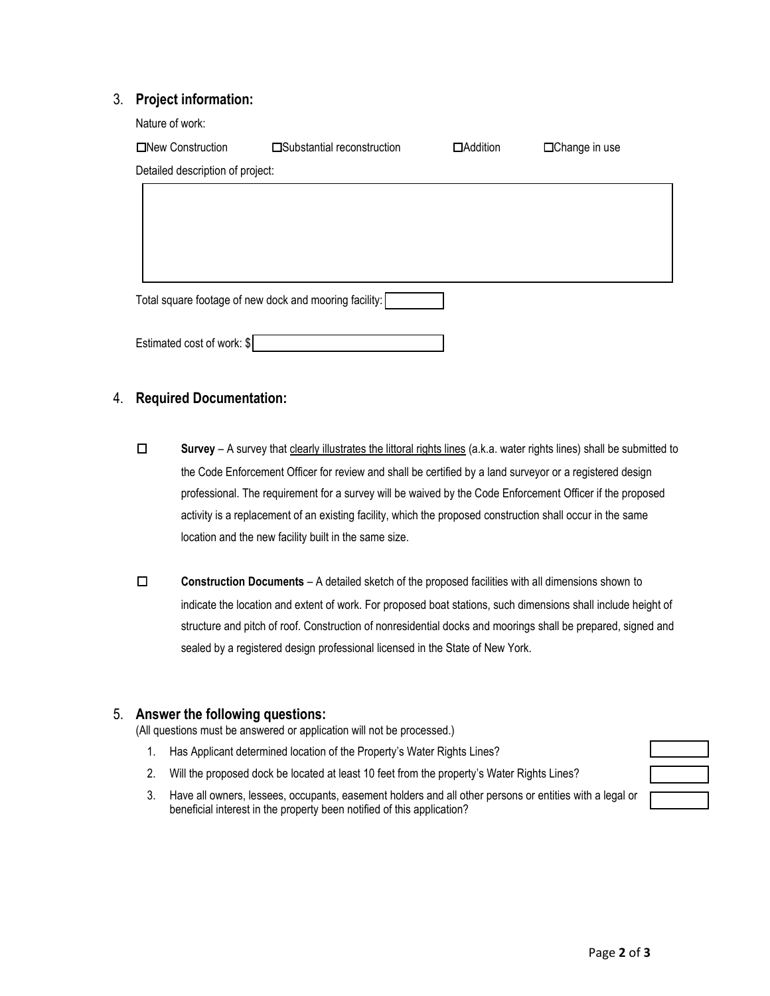### 3. **Project information:**

| Nature of work:                                        |                             |                 |                      |
|--------------------------------------------------------|-----------------------------|-----------------|----------------------|
| □New Construction                                      | □Substantial reconstruction | $\Box$ Addition | $\Box$ Change in use |
| Detailed description of project:                       |                             |                 |                      |
|                                                        |                             |                 |                      |
|                                                        |                             |                 |                      |
|                                                        |                             |                 |                      |
|                                                        |                             |                 |                      |
| Total square footage of new dock and mooring facility: |                             |                 |                      |

4. **Required Documentation:**

Estimated cost of work: \$

- ☐ **Survey** A survey that clearly illustrates the littoral rights lines (a.k.a. water rights lines) shall be submitted to the Code Enforcement Officer for review and shall be certified by a land surveyor or a registered design professional. The requirement for a survey will be waived by the Code Enforcement Officer if the proposed activity is a replacement of an existing facility, which the proposed construction shall occur in the same location and the new facility built in the same size.
- ☐ **Construction Documents** A detailed sketch of the proposed facilities with all dimensions shown to indicate the location and extent of work. For proposed boat stations, such dimensions shall include height of structure and pitch of roof. Construction of nonresidential docks and moorings shall be prepared, signed and sealed by a registered design professional licensed in the State of New York.

# 5. **Answer the following questions:**

(All questions must be answered or application will not be processed.)

- 1. Has Applicant determined location of the Property's Water Rights Lines?
- 2. Will the proposed dock be located at least 10 feet from the property's Water Rights Lines?
- 3. Have all owners, lessees, occupants, easement holders and all other persons or entities with a legal or beneficial interest in the property been notified of this application?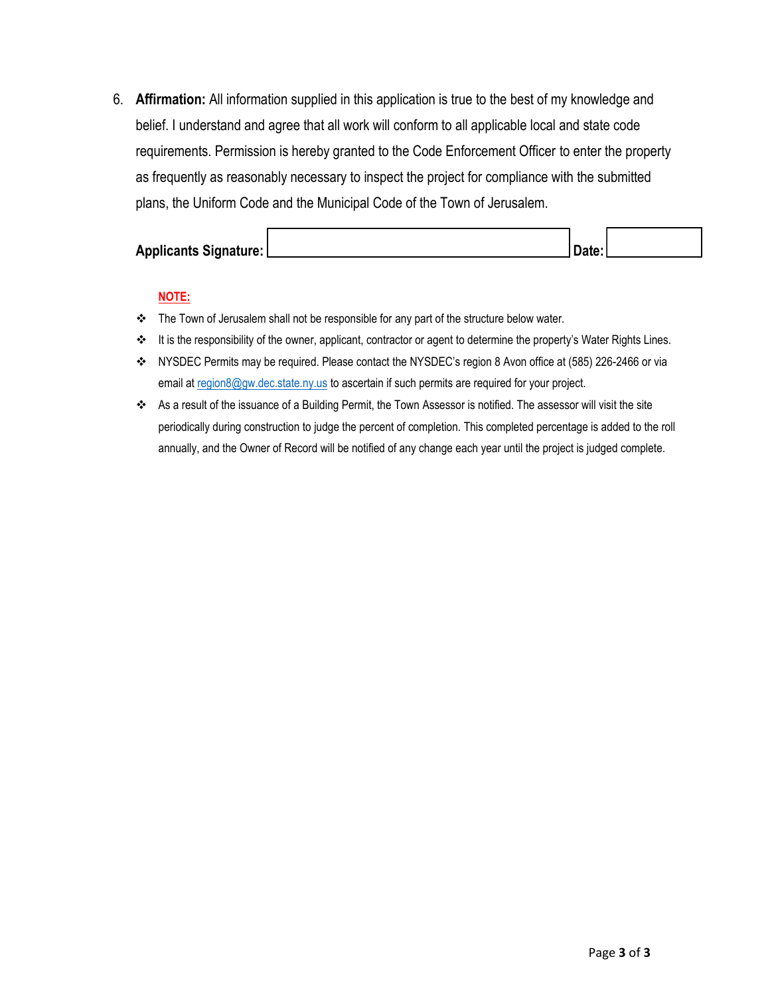6. **Affirmation:** All information supplied in this application is true to the best of my knowledge and belief. I understand and agree that all work will conform to all applicable local and state code requirements. Permission is hereby granted to the Code Enforcement Officer to enter the property as frequently as reasonably necessary to inspect the project for compliance with the submitted plans, the Uniform Code and the Municipal Code of the Town of Jerusalem.

| <b>Applicants Signature:</b> | Date. |  |
|------------------------------|-------|--|

### **NOTE:**

- \* The Town of Jerusalem shall not be responsible for any part of the structure below water.
- \* It is the responsibility of the owner, applicant, contractor or agent to determine the property's Water Rights Lines.
- NYSDEC Permits may be required. Please contact the NYSDEC's region 8 Avon office at (585) 226-2466 or via email at [region8@gw.dec.state.ny.us](mailto:region8@gw.dec.state.ny.us) to ascertain if such permits are required for your project.
- As a result of the issuance of a Building Permit, the Town Assessor is notified. The assessor will visit the site periodically during construction to judge the percent of completion. This completed percentage is added to the roll annually, and the Owner of Record will be notified of any change each year until the project is judged complete.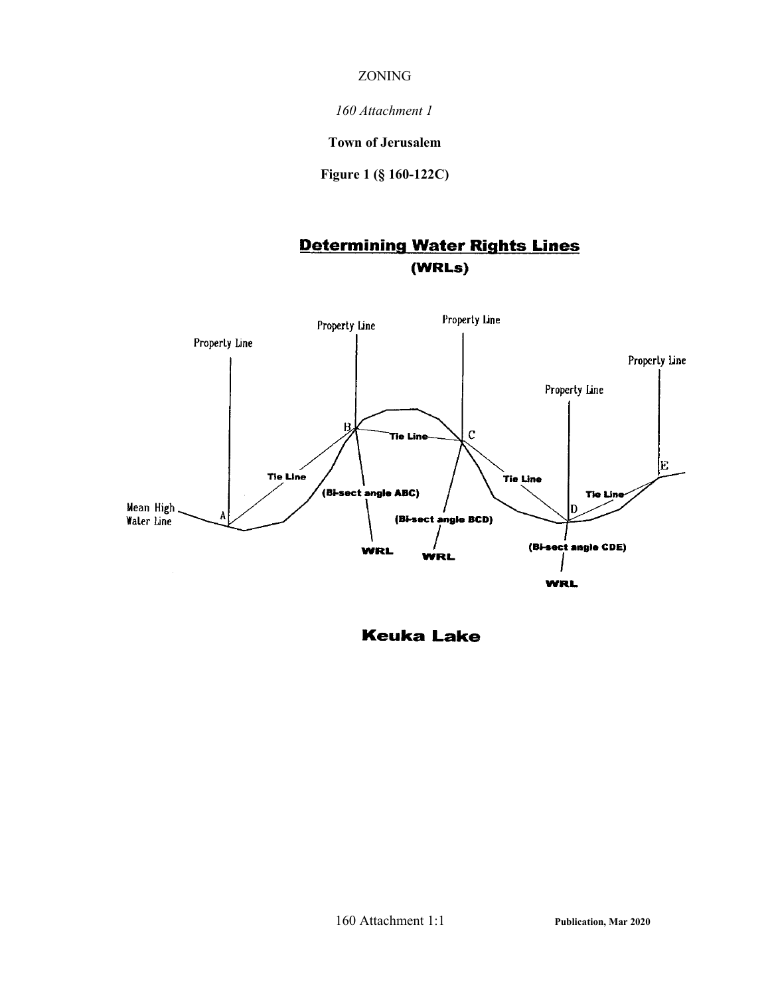### ZONING

*160 Attachment 1*

**Town of Jerusalem**

**Figure 1 (§ 160-122C)**

# **Determining Water Rights Lines** (WRLs)



**Keuka Lake**